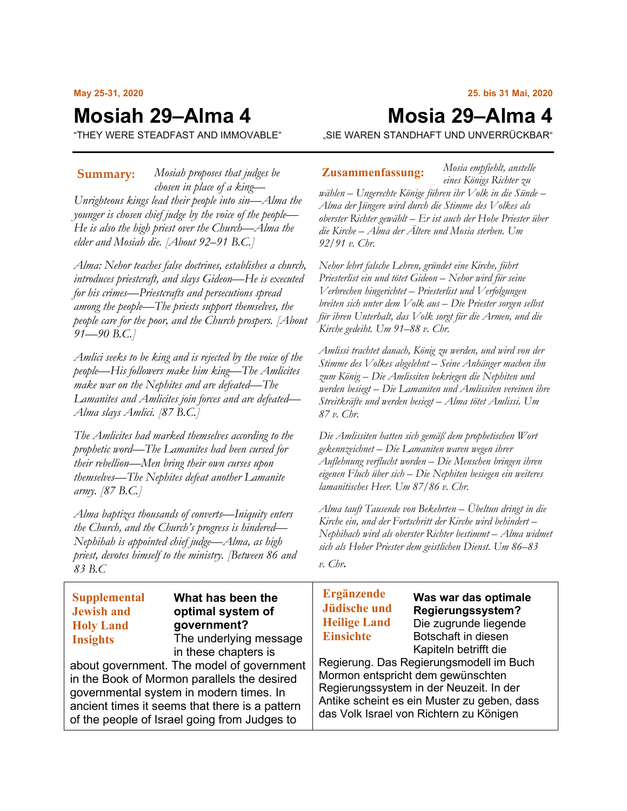#### **May 25-31, 2020**

# **Mosiah 29–Alma 4**

"THEY WERE STEADFAST AND IMMOVABLE"

**Mosia 29–Alma 4**

"SIE WAREN STANDHAFT UND UNVERRÜCKBAR"

*Mosiah proposes that judges be*  **Summary: Zusammenfassung:** *chosen in place of a king— Unrighteous kings lead their people into sin—Alma the younger is chosen chief judge by the voice of the people— He is also the high priest over the Church—Alma the elder and Mosiah die. [About 92–91 B.C.]*

*Alma: Nehor teaches false doctrines, establishes a church, introduces priestcraft, and slays Gideon—He is executed for his crimes—Priestcrafts and persecutions spread among the people—The priests support themselves, the people care for the poor, and the Church prospers. [About 91—90 B.C.]*

*Amlici seeks to be king and is rejected by the voice of the people—His followers make him king—The Amlicites make war on the Nephites and are defeated—The Lamanites and Amlicites join forces and are defeated— Alma slays Amlici. [87 B.C.]*

*The Amlicites had marked themselves according to the prophetic word—The Lamanites had been cursed for their rebellion—Men bring their own curses upon themselves—The Nephites defeat another Lamanite army. [87 B.C.]*

*Alma baptizes thousands of converts—Iniquity enters the Church, and the Church's progress is hindered— Nephihah is appointed chief judge—Alma, as high priest, devotes himself to the ministry. [Between 86 and 83 B.C*

#### **Supplemental Jewish and Holy Land Insights**

#### **What has been the optimal system of government?** The underlying message

in these chapters is

about government. The model of government in the Book of Mormon parallels the desired governmental system in modern times. In ancient times it seems that there is a pattern of the people of Israel going from Judges to

*Mosia empfiehlt, anstelle eines Königs Richter zu* 

*wählen – Ungerechte Könige führen ihr Volk in die Sünde – Alma der Jüngere wird durch die Stimme des Volkes als oberster Richter gewählt – Er ist auch der Hohe Priester über die Kirche – Alma der Ältere und Mosia sterben. Um 92/91 v. Chr.*

*Nehor lehrt falsche Lehren, gründet eine Kirche, führt Priesterlist ein und tötet Gideon – Nehor wird für seine Verbrechen hingerichtet – Priesterlist und Verfolgungen breiten sich unter dem Volk aus – Die Priester sorgen selbst für ihren Unterhalt, das Volk sorgt für die Armen, und die Kirche gedeiht. Um 91–88 v. Chr.*

*Amlissi trachtet danach, König zu werden, und wird von der Stimme des Volkes abgelehnt – Seine Anhänger machen ihn zum König – Die Amlissiten bekriegen die Nephiten und werden besiegt – Die Lamaniten und Amlissiten vereinen ihre Streitkräfte und werden besiegt – Alma tötet Amlissi. Um 87 v. Chr.*

*Die Amlissiten hatten sich gemäß dem prophetischen Wort gekennzeichnet – Die Lamaniten waren wegen ihrer Auflehnung verflucht worden – Die Menschen bringen ihren eigenen Fluch über sich – Die Nephiten besiegen ein weiteres lamanitisches Heer. Um 87/86 v. Chr.*

*Alma tauft Tausende von Bekehrten – Übeltun dringt in die Kirche ein, und der Fortschritt der Kirche wird behindert – Nephihach wird als oberster Richter bestimmt – Alma widmet sich als Hoher Priester dem geistlichen Dienst. Um 86–83*

*v. Chr.*

#### **Ergänzende Jüdische und Heilige Land Einsichte**

**Was war das optimale Regierungssystem?** Die zugrunde liegende Botschaft in diesen Kapiteln betrifft die

Regierung. Das Regierungsmodell im Buch Mormon entspricht dem gewünschten Regierungssystem in der Neuzeit. In der Antike scheint es ein Muster zu geben, dass das Volk Israel von Richtern zu Königen

**25. bis 31 Mai, 2020**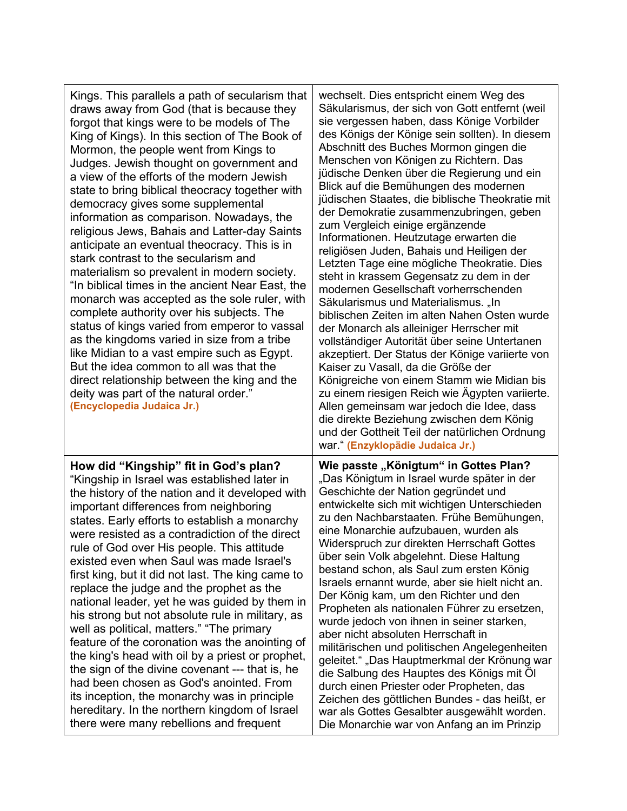| Kings. This parallels a path of secularism that<br>draws away from God (that is because they<br>forgot that kings were to be models of The<br>King of Kings). In this section of The Book of<br>Mormon, the people went from Kings to<br>Judges. Jewish thought on government and<br>a view of the efforts of the modern Jewish<br>state to bring biblical theocracy together with<br>democracy gives some supplemental<br>information as comparison. Nowadays, the<br>religious Jews, Bahais and Latter-day Saints<br>anticipate an eventual theocracy. This is in<br>stark contrast to the secularism and<br>materialism so prevalent in modern society.<br>"In biblical times in the ancient Near East, the<br>monarch was accepted as the sole ruler, with<br>complete authority over his subjects. The<br>status of kings varied from emperor to vassal<br>as the kingdoms varied in size from a tribe<br>like Midian to a vast empire such as Egypt.<br>But the idea common to all was that the<br>direct relationship between the king and the<br>deity was part of the natural order."<br>(Encyclopedia Judaica Jr.) | wechselt. Dies entspricht einem Weg des<br>Säkularismus, der sich von Gott entfernt (weil<br>sie vergessen haben, dass Könige Vorbilder<br>des Königs der Könige sein sollten). In diesem<br>Abschnitt des Buches Mormon gingen die<br>Menschen von Königen zu Richtern. Das<br>jüdische Denken über die Regierung und ein<br>Blick auf die Bemühungen des modernen<br>jüdischen Staates, die biblische Theokratie mit<br>der Demokratie zusammenzubringen, geben<br>zum Vergleich einige ergänzende<br>Informationen. Heutzutage erwarten die<br>religiösen Juden, Bahais und Heiligen der<br>Letzten Tage eine mögliche Theokratie. Dies<br>steht in krassem Gegensatz zu dem in der<br>modernen Gesellschaft vorherrschenden<br>Säkularismus und Materialismus. "In<br>biblischen Zeiten im alten Nahen Osten wurde<br>der Monarch als alleiniger Herrscher mit<br>vollständiger Autorität über seine Untertanen<br>akzeptiert. Der Status der Könige variierte von<br>Kaiser zu Vasall, da die Größe der<br>Königreiche von einem Stamm wie Midian bis<br>zu einem riesigen Reich wie Ägypten variierte.<br>Allen gemeinsam war jedoch die Idee, dass<br>die direkte Beziehung zwischen dem König<br>und der Gottheit Teil der natürlichen Ordnung<br>war." (Enzyklopädie Judaica Jr.) |
|------------------------------------------------------------------------------------------------------------------------------------------------------------------------------------------------------------------------------------------------------------------------------------------------------------------------------------------------------------------------------------------------------------------------------------------------------------------------------------------------------------------------------------------------------------------------------------------------------------------------------------------------------------------------------------------------------------------------------------------------------------------------------------------------------------------------------------------------------------------------------------------------------------------------------------------------------------------------------------------------------------------------------------------------------------------------------------------------------------------------------|--------------------------------------------------------------------------------------------------------------------------------------------------------------------------------------------------------------------------------------------------------------------------------------------------------------------------------------------------------------------------------------------------------------------------------------------------------------------------------------------------------------------------------------------------------------------------------------------------------------------------------------------------------------------------------------------------------------------------------------------------------------------------------------------------------------------------------------------------------------------------------------------------------------------------------------------------------------------------------------------------------------------------------------------------------------------------------------------------------------------------------------------------------------------------------------------------------------------------------------------------------------------------------------------|
| How did "Kingship" fit in God's plan?<br>"Kingship in Israel was established later in<br>the history of the nation and it developed with<br>important differences from neighboring<br>states. Early efforts to establish a monarchy<br>were resisted as a contradiction of the direct<br>rule of God over His people. This attitude<br>existed even when Saul was made Israel's<br>first king, but it did not last. The king came to<br>replace the judge and the prophet as the<br>national leader, yet he was guided by them in<br>his strong but not absolute rule in military, as<br>well as political, matters." "The primary<br>feature of the coronation was the anointing of<br>the king's head with oil by a priest or prophet,<br>the sign of the divine covenant --- that is, he<br>had been chosen as God's anointed. From<br>its inception, the monarchy was in principle<br>hereditary. In the northern kingdom of Israel<br>there were many rebellions and frequent                                                                                                                                           | Wie passte "Königtum" in Gottes Plan?<br>"Das Königtum in Israel wurde später in der<br>Geschichte der Nation gegründet und<br>entwickelte sich mit wichtigen Unterschieden<br>zu den Nachbarstaaten. Frühe Bemühungen,<br>eine Monarchie aufzubauen, wurden als<br>Widerspruch zur direkten Herrschaft Gottes<br>über sein Volk abgelehnt. Diese Haltung<br>bestand schon, als Saul zum ersten König<br>Israels ernannt wurde, aber sie hielt nicht an.<br>Der König kam, um den Richter und den<br>Propheten als nationalen Führer zu ersetzen,<br>wurde jedoch von ihnen in seiner starken,<br>aber nicht absoluten Herrschaft in<br>militärischen und politischen Angelegenheiten<br>geleitet." "Das Hauptmerkmal der Krönung war<br>die Salbung des Hauptes des Königs mit OI<br>durch einen Priester oder Propheten, das<br>Zeichen des göttlichen Bundes - das heißt, er<br>war als Gottes Gesalbter ausgewählt worden.<br>Die Monarchie war von Anfang an im Prinzip                                                                                                                                                                                                                                                                                                               |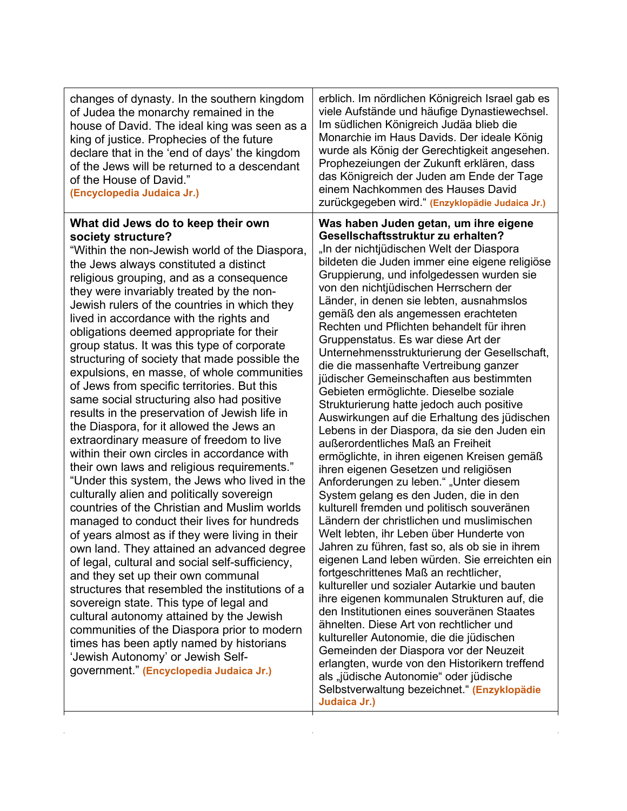| changes of dynasty. In the southern kingdom<br>of Judea the monarchy remained in the<br>house of David. The ideal king was seen as a<br>king of justice. Prophecies of the future<br>declare that in the 'end of days' the kingdom<br>of the Jews will be returned to a descendant<br>of the House of David."<br>(Encyclopedia Judaica Jr.)                                                                                                                                                                                                                                                                                                                                                                                                                                                                                                                                                                                                                                                                                                                                                                                                                                                                                                                                                                                                                                                                                                                                                                                                                                      | erblich. Im nördlichen Königreich Israel gab es<br>viele Aufstände und häufige Dynastiewechsel.<br>Im südlichen Königreich Judäa blieb die<br>Monarchie im Haus Davids. Der ideale König<br>wurde als König der Gerechtigkeit angesehen.<br>Prophezeiungen der Zukunft erklären, dass<br>das Königreich der Juden am Ende der Tage<br>einem Nachkommen des Hauses David<br>zurückgegeben wird." (Enzyklopädie Judaica Jr.)                                                                                                                                                                                                                                                                                                                                                                                                                                                                                                                                                                                                                                                                                                                                                                                                                                                                                                                                                                                                                                                                                                                                                                                                                                                                                     |
|----------------------------------------------------------------------------------------------------------------------------------------------------------------------------------------------------------------------------------------------------------------------------------------------------------------------------------------------------------------------------------------------------------------------------------------------------------------------------------------------------------------------------------------------------------------------------------------------------------------------------------------------------------------------------------------------------------------------------------------------------------------------------------------------------------------------------------------------------------------------------------------------------------------------------------------------------------------------------------------------------------------------------------------------------------------------------------------------------------------------------------------------------------------------------------------------------------------------------------------------------------------------------------------------------------------------------------------------------------------------------------------------------------------------------------------------------------------------------------------------------------------------------------------------------------------------------------|----------------------------------------------------------------------------------------------------------------------------------------------------------------------------------------------------------------------------------------------------------------------------------------------------------------------------------------------------------------------------------------------------------------------------------------------------------------------------------------------------------------------------------------------------------------------------------------------------------------------------------------------------------------------------------------------------------------------------------------------------------------------------------------------------------------------------------------------------------------------------------------------------------------------------------------------------------------------------------------------------------------------------------------------------------------------------------------------------------------------------------------------------------------------------------------------------------------------------------------------------------------------------------------------------------------------------------------------------------------------------------------------------------------------------------------------------------------------------------------------------------------------------------------------------------------------------------------------------------------------------------------------------------------------------------------------------------------|
| What did Jews do to keep their own<br>society structure?<br>"Within the non-Jewish world of the Diaspora,<br>the Jews always constituted a distinct<br>religious grouping, and as a consequence<br>they were invariably treated by the non-<br>Jewish rulers of the countries in which they<br>lived in accordance with the rights and<br>obligations deemed appropriate for their<br>group status. It was this type of corporate<br>structuring of society that made possible the<br>expulsions, en masse, of whole communities<br>of Jews from specific territories. But this<br>same social structuring also had positive<br>results in the preservation of Jewish life in<br>the Diaspora, for it allowed the Jews an<br>extraordinary measure of freedom to live<br>within their own circles in accordance with<br>their own laws and religious requirements."<br>"Under this system, the Jews who lived in the<br>culturally alien and politically sovereign<br>countries of the Christian and Muslim worlds<br>managed to conduct their lives for hundreds<br>of years almost as if they were living in their<br>own land. They attained an advanced degree<br>of legal, cultural and social self-sufficiency,<br>and they set up their own communal<br>structures that resembled the institutions of a<br>sovereign state. This type of legal and<br>cultural autonomy attained by the Jewish<br>communities of the Diaspora prior to modern<br>times has been aptly named by historians<br>'Jewish Autonomy' or Jewish Self-<br>government." (Encyclopedia Judaica Jr.) | Was haben Juden getan, um ihre eigene<br>Gesellschaftsstruktur zu erhalten?<br>"In der nichtjüdischen Welt der Diaspora<br>bildeten die Juden immer eine eigene religiöse<br>Gruppierung, und infolgedessen wurden sie<br>von den nichtjüdischen Herrschern der<br>Länder, in denen sie lebten, ausnahmslos<br>gemäß den als angemessen erachteten<br>Rechten und Pflichten behandelt für ihren<br>Gruppenstatus. Es war diese Art der<br>Unternehmensstrukturierung der Gesellschaft,<br>die die massenhafte Vertreibung ganzer<br>jüdischer Gemeinschaften aus bestimmten<br>Gebieten ermöglichte. Dieselbe soziale<br>Strukturierung hatte jedoch auch positive<br>Auswirkungen auf die Erhaltung des jüdischen<br>Lebens in der Diaspora, da sie den Juden ein<br>außerordentliches Maß an Freiheit<br>ermöglichte, in ihren eigenen Kreisen gemäß<br>ihren eigenen Gesetzen und religiösen<br>Anforderungen zu leben." "Unter diesem<br>System gelang es den Juden, die in den<br>kulturell fremden und politisch souveränen<br>Ländern der christlichen und muslimischen<br>Welt lebten, ihr Leben über Hunderte von<br>Jahren zu führen, fast so, als ob sie in ihrem<br>eigenen Land leben würden. Sie erreichten ein<br>fortgeschrittenes Maß an rechtlicher,<br>kultureller und sozialer Autarkie und bauten<br>ihre eigenen kommunalen Strukturen auf, die<br>den Institutionen eines souveränen Staates<br>ähnelten. Diese Art von rechtlicher und<br>kultureller Autonomie, die die jüdischen<br>Gemeinden der Diaspora vor der Neuzeit<br>erlangten, wurde von den Historikern treffend<br>als "jüdische Autonomie" oder jüdische<br>Selbstverwaltung bezeichnet." (Enzyklopädie<br>Judaica Jr.) |
|                                                                                                                                                                                                                                                                                                                                                                                                                                                                                                                                                                                                                                                                                                                                                                                                                                                                                                                                                                                                                                                                                                                                                                                                                                                                                                                                                                                                                                                                                                                                                                                  |                                                                                                                                                                                                                                                                                                                                                                                                                                                                                                                                                                                                                                                                                                                                                                                                                                                                                                                                                                                                                                                                                                                                                                                                                                                                                                                                                                                                                                                                                                                                                                                                                                                                                                                |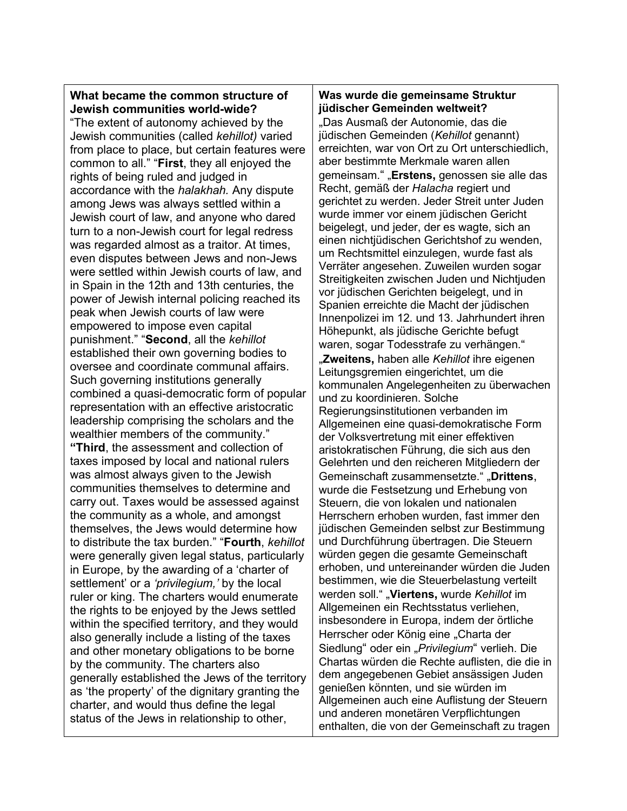### **What became the common structure of Jewish communities world-wide?**

"The extent of autonomy achieved by the Jewish communities (called *kehillot)* varied from place to place, but certain features were common to all." "**First**, they all enjoyed the rights of being ruled and judged in accordance with the *halakhah.* Any dispute among Jews was always settled within a Jewish court of law, and anyone who dared turn to a non-Jewish court for legal redress was regarded almost as a traitor. At times, even disputes between Jews and non-Jews were settled within Jewish courts of law, and in Spain in the 12th and 13th centuries, the power of Jewish internal policing reached its peak when Jewish courts of law were empowered to impose even capital punishment." "**Second**, all the *kehillot*  established their own governing bodies to oversee and coordinate communal affairs. Such governing institutions generally combined a quasi-democratic form of popular representation with an effective aristocratic leadership comprising the scholars and the wealthier members of the community." **"Third**, the assessment and collection of taxes imposed by local and national rulers was almost always given to the Jewish communities themselves to determine and carry out. Taxes would be assessed against the community as a whole, and amongst themselves, the Jews would determine how to distribute the tax burden." "**Fourth**, *kehillot*  were generally given legal status, particularly in Europe, by the awarding of a 'charter of settlement' or a *'privilegium,'* by the local ruler or king. The charters would enumerate the rights to be enjoyed by the Jews settled within the specified territory, and they would also generally include a listing of the taxes and other monetary obligations to be borne by the community. The charters also generally established the Jews of the territory as 'the property' of the dignitary granting the charter, and would thus define the legal status of the Jews in relationship to other,

#### **Was wurde die gemeinsame Struktur jüdischer Gemeinden weltweit?**

"Das Ausmaß der Autonomie, das die jüdischen Gemeinden (*Kehillot* genannt) erreichten, war von Ort zu Ort unterschiedlich, aber bestimmte Merkmale waren allen gemeinsam." "**Erstens,** genossen sie alle das Recht, gemäß der *Halacha* regiert und gerichtet zu werden. Jeder Streit unter Juden wurde immer vor einem jüdischen Gericht beigelegt, und jeder, der es wagte, sich an einen nichtjüdischen Gerichtshof zu wenden, um Rechtsmittel einzulegen, wurde fast als Verräter angesehen. Zuweilen wurden sogar Streitigkeiten zwischen Juden und Nichtjuden vor jüdischen Gerichten beigelegt, und in Spanien erreichte die Macht der jüdischen Innenpolizei im 12. und 13. Jahrhundert ihren Höhepunkt, als jüdische Gerichte befugt waren, sogar Todesstrafe zu verhängen." "**Zweitens,** haben alle *Kehillot* ihre eigenen Leitungsgremien eingerichtet, um die kommunalen Angelegenheiten zu überwachen und zu koordinieren. Solche Regierungsinstitutionen verbanden im Allgemeinen eine quasi-demokratische Form der Volksvertretung mit einer effektiven aristokratischen Führung, die sich aus den Gelehrten und den reicheren Mitgliedern der Gemeinschaft zusammensetzte." "**Drittens**, wurde die Festsetzung und Erhebung von Steuern, die von lokalen und nationalen Herrschern erhoben wurden, fast immer den jüdischen Gemeinden selbst zur Bestimmung und Durchführung übertragen. Die Steuern würden gegen die gesamte Gemeinschaft erhoben, und untereinander würden die Juden bestimmen, wie die Steuerbelastung verteilt werden soll." "Viertens, wurde Kehillot im Allgemeinen ein Rechtsstatus verliehen, insbesondere in Europa, indem der örtliche Herrscher oder König eine "Charta der Siedlung" oder ein "Privilegium" verlieh. Die Chartas würden die Rechte auflisten, die die in dem angegebenen Gebiet ansässigen Juden genießen könnten, und sie würden im Allgemeinen auch eine Auflistung der Steuern und anderen monetären Verpflichtungen enthalten, die von der Gemeinschaft zu tragen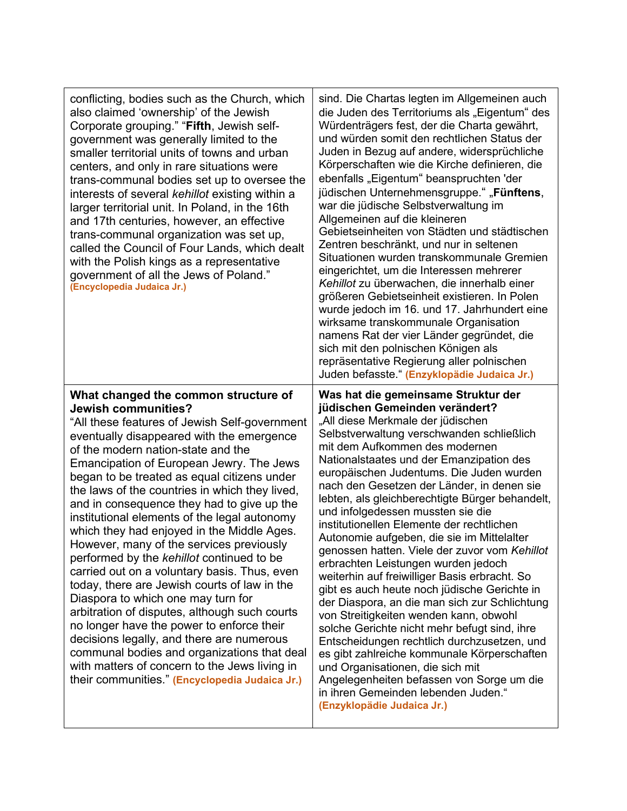| conflicting, bodies such as the Church, which<br>also claimed 'ownership' of the Jewish<br>Corporate grouping." "Fifth, Jewish self-<br>government was generally limited to the<br>smaller territorial units of towns and urban<br>centers, and only in rare situations were<br>trans-communal bodies set up to oversee the<br>interests of several kehillot existing within a<br>larger territorial unit. In Poland, in the 16th<br>and 17th centuries, however, an effective<br>trans-communal organization was set up,<br>called the Council of Four Lands, which dealt<br>with the Polish kings as a representative<br>government of all the Jews of Poland."<br>(Encyclopedia Judaica Jr.)                                                                                                                                                                                                                                                                                                                             | sind. Die Chartas legten im Allgemeinen auch<br>die Juden des Territoriums als "Eigentum" des<br>Würdenträgers fest, der die Charta gewährt,<br>und würden somit den rechtlichen Status der<br>Juden in Bezug auf andere, widersprüchliche<br>Körperschaften wie die Kirche definieren, die<br>ebenfalls "Eigentum" beanspruchten 'der<br>jüdischen Unternehmensgruppe." "Fünftens,<br>war die jüdische Selbstverwaltung im<br>Allgemeinen auf die kleineren<br>Gebietseinheiten von Städten und städtischen<br>Zentren beschränkt, und nur in seltenen<br>Situationen wurden transkommunale Gremien<br>eingerichtet, um die Interessen mehrerer<br>Kehillot zu überwachen, die innerhalb einer<br>größeren Gebietseinheit existieren. In Polen<br>wurde jedoch im 16. und 17. Jahrhundert eine<br>wirksame transkommunale Organisation<br>namens Rat der vier Länder gegründet, die<br>sich mit den polnischen Königen als<br>repräsentative Regierung aller polnischen<br>Juden befasste." (Enzyklopädie Judaica Jr.)                                                                                    |
|-----------------------------------------------------------------------------------------------------------------------------------------------------------------------------------------------------------------------------------------------------------------------------------------------------------------------------------------------------------------------------------------------------------------------------------------------------------------------------------------------------------------------------------------------------------------------------------------------------------------------------------------------------------------------------------------------------------------------------------------------------------------------------------------------------------------------------------------------------------------------------------------------------------------------------------------------------------------------------------------------------------------------------|------------------------------------------------------------------------------------------------------------------------------------------------------------------------------------------------------------------------------------------------------------------------------------------------------------------------------------------------------------------------------------------------------------------------------------------------------------------------------------------------------------------------------------------------------------------------------------------------------------------------------------------------------------------------------------------------------------------------------------------------------------------------------------------------------------------------------------------------------------------------------------------------------------------------------------------------------------------------------------------------------------------------------------------------------------------------------------------------------------|
| What changed the common structure of<br><b>Jewish communities?</b><br>"All these features of Jewish Self-government<br>eventually disappeared with the emergence<br>of the modern nation-state and the<br>Emancipation of European Jewry. The Jews<br>began to be treated as equal citizens under<br>the laws of the countries in which they lived,<br>and in consequence they had to give up the<br>institutional elements of the legal autonomy<br>which they had enjoyed in the Middle Ages.<br>However, many of the services previously<br>performed by the kehillot continued to be<br>carried out on a voluntary basis. Thus, even<br>today, there are Jewish courts of law in the<br>Diaspora to which one may turn for<br>arbitration of disputes, although such courts<br>no longer have the power to enforce their<br>decisions legally, and there are numerous<br>communal bodies and organizations that deal<br>with matters of concern to the Jews living in<br>their communities." (Encyclopedia Judaica Jr.) | Was hat die gemeinsame Struktur der<br>jüdischen Gemeinden verändert?<br>"All diese Merkmale der jüdischen<br>Selbstverwaltung verschwanden schließlich<br>mit dem Aufkommen des modernen<br>Nationalstaates und der Emanzipation des<br>europäischen Judentums. Die Juden wurden<br>nach den Gesetzen der Länder, in denen sie<br>lebten, als gleichberechtigte Bürger behandelt,<br>und infolgedessen mussten sie die<br>institutionellen Elemente der rechtlichen<br>Autonomie aufgeben, die sie im Mittelalter<br>genossen hatten. Viele der zuvor vom Kehillot<br>erbrachten Leistungen wurden jedoch<br>weiterhin auf freiwilliger Basis erbracht. So<br>gibt es auch heute noch jüdische Gerichte in<br>der Diaspora, an die man sich zur Schlichtung<br>von Streitigkeiten wenden kann, obwohl<br>solche Gerichte nicht mehr befugt sind, ihre<br>Entscheidungen rechtlich durchzusetzen, und<br>es gibt zahlreiche kommunale Körperschaften<br>und Organisationen, die sich mit<br>Angelegenheiten befassen von Sorge um die<br>in ihren Gemeinden lebenden Juden."<br>(Enzyklopädie Judaica Jr.) |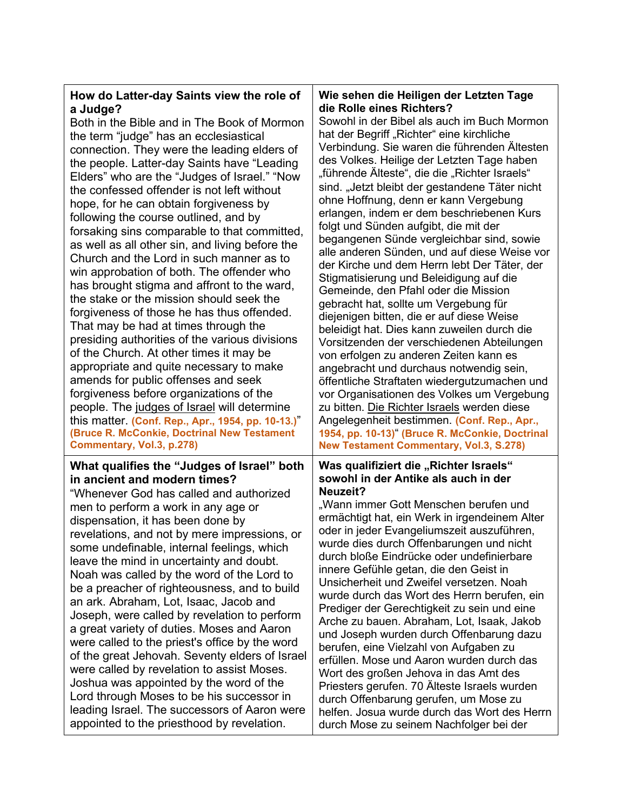#### **How do Latter-day Saints view the role of a Judge?**

Both in the Bible and in The Book of Mormon the term "judge" has an ecclesiastical connection. They were the leading elders of the people. Latter-day Saints have "Leading Elders" who are the "Judges of Israel." "Now the confessed offender is not left without hope, for he can obtain forgiveness by following the course outlined, and by forsaking sins comparable to that committed, as well as all other sin, and living before the Church and the Lord in such manner as to win approbation of both. The offender who has brought stigma and affront to the ward, the stake or the mission should seek the forgiveness of those he has thus offended. That may be had at times through the presiding authorities of the various divisions of the Church. At other times it may be appropriate and quite necessary to make amends for public offenses and seek forgiveness before organizations of the people. The judges of Israel will determine this matter. **(Conf. Rep., Apr., 1954, pp. 10-13.)**" **(Bruce R. McConkie, Doctrinal New Testament Commentary, Vol.3, p.278)**

#### **What qualifies the "Judges of Israel" both in ancient and modern times?**

"Whenever God has called and authorized men to perform a work in any age or dispensation, it has been done by revelations, and not by mere impressions, or some undefinable, internal feelings, which leave the mind in uncertainty and doubt. Noah was called by the word of the Lord to be a preacher of righteousness, and to build an ark. Abraham, Lot, Isaac, Jacob and Joseph, were called by revelation to perform a great variety of duties. Moses and Aaron were called to the priest's office by the word of the great Jehovah. Seventy elders of Israel were called by revelation to assist Moses. Joshua was appointed by the word of the Lord through Moses to be his successor in leading Israel. The successors of Aaron were appointed to the priesthood by revelation.

#### **Wie sehen die Heiligen der Letzten Tage die Rolle eines Richters?**

Sowohl in der Bibel als auch im Buch Mormon hat der Begriff "Richter" eine kirchliche Verbindung. Sie waren die führenden Ältesten des Volkes. Heilige der Letzten Tage haben "führende Älteste", die die "Richter Israels" sind. "Jetzt bleibt der gestandene Täter nicht ohne Hoffnung, denn er kann Vergebung erlangen, indem er dem beschriebenen Kurs folgt und Sünden aufgibt, die mit der begangenen Sünde vergleichbar sind, sowie alle anderen Sünden, und auf diese Weise vor der Kirche und dem Herrn lebt Der Täter, der Stigmatisierung und Beleidigung auf die Gemeinde, den Pfahl oder die Mission gebracht hat, sollte um Vergebung für diejenigen bitten, die er auf diese Weise beleidigt hat. Dies kann zuweilen durch die Vorsitzenden der verschiedenen Abteilungen von erfolgen zu anderen Zeiten kann es angebracht und durchaus notwendig sein, öffentliche Straftaten wiedergutzumachen und vor Organisationen des Volkes um Vergebung zu bitten. Die Richter Israels werden diese Angelegenheit bestimmen. **(Conf. Rep., Apr., 1954, pp. 10-13)**" **(Bruce R. McConkie, Doctrinal New Testament Commentary, Vol.3, S.278)**

#### **Was qualifiziert die "Richter Israels" sowohl in der Antike als auch in der Neuzeit?**

"Wann immer Gott Menschen berufen und ermächtigt hat, ein Werk in irgendeinem Alter oder in jeder Evangeliumszeit auszuführen, wurde dies durch Offenbarungen und nicht durch bloße Eindrücke oder undefinierbare innere Gefühle getan, die den Geist in Unsicherheit und Zweifel versetzen. Noah wurde durch das Wort des Herrn berufen, ein Prediger der Gerechtigkeit zu sein und eine Arche zu bauen. Abraham, Lot, Isaak, Jakob und Joseph wurden durch Offenbarung dazu berufen, eine Vielzahl von Aufgaben zu erfüllen. Mose und Aaron wurden durch das Wort des großen Jehova in das Amt des Priesters gerufen. 70 Älteste Israels wurden durch Offenbarung gerufen, um Mose zu helfen. Josua wurde durch das Wort des Herrn durch Mose zu seinem Nachfolger bei der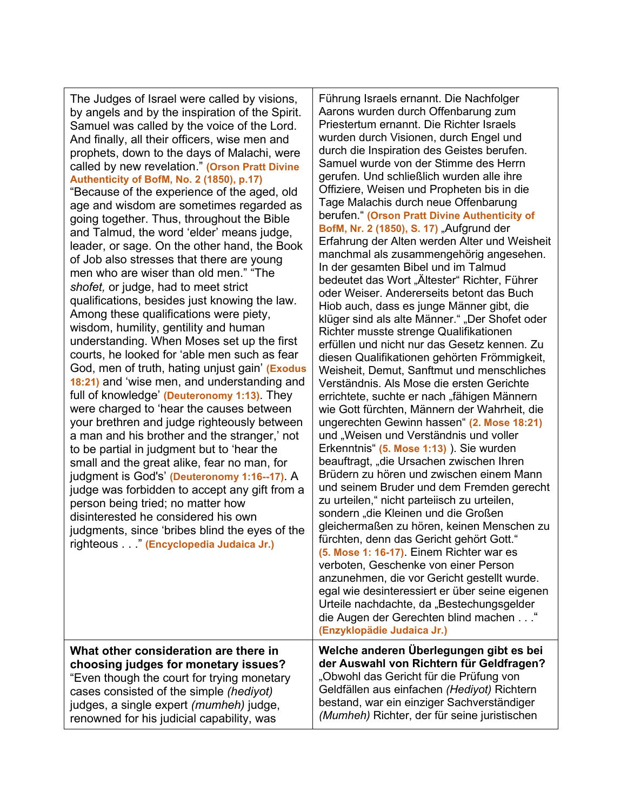The Judges of Israel were called by visions, by angels and by the inspiration of the Spirit. Samuel was called by the voice of the Lord. And finally, all their officers, wise men and prophets, down to the days of Malachi, were called by new revelation." **(Orson Pratt Divine Authenticity of BofM, No. 2 (1850), p.17)** "Because of the experience of the aged, old age and wisdom are sometimes regarded as going together. Thus, throughout the Bible and Talmud, the word 'elder' means judge, leader, or sage. On the other hand, the Book of Job also stresses that there are young men who are wiser than old men." "The *shofet,* or judge, had to meet strict qualifications, besides just knowing the law. Among these qualifications were piety, wisdom, humility, gentility and human understanding. When Moses set up the first courts, he looked for 'able men such as fear God, men of truth, hating unjust gain' **(Exodus 18:21)** and 'wise men, and understanding and full of knowledge' **(Deuteronomy 1:13)**. They were charged to 'hear the causes between your brethren and judge righteously between a man and his brother and the stranger,' not to be partial in judgment but to 'hear the small and the great alike, fear no man, for judgment is God's' **(Deuteronomy 1:16--17)**. A judge was forbidden to accept any gift from a person being tried; no matter how disinterested he considered his own judgments, since 'bribes blind the eyes of the righteous . . ." **(Encyclopedia Judaica Jr.)**

## **What other consideration are there in choosing judges for monetary issues?** "Even though the court for trying monetary cases consisted of the simple *(hediyot)*  judges, a single expert *(mumheh)* judge, renowned for his judicial capability, was **der Auswahl von Richtern für Geldfragen?** "Obwohl das Gericht für die Prüfung von Geldfällen aus einfachen *(Hediyot)* Richtern bestand, war ein einziger Sachverständiger *(Mumheh)* Richter, der für seine juristischen

Führung Israels ernannt. Die Nachfolger Aarons wurden durch Offenbarung zum Priestertum ernannt. Die Richter Israels wurden durch Visionen, durch Engel und durch die Inspiration des Geistes berufen. Samuel wurde von der Stimme des Herrn gerufen. Und schließlich wurden alle ihre Offiziere, Weisen und Propheten bis in die Tage Malachis durch neue Offenbarung berufen." **(Orson Pratt Divine Authenticity of BofM, Nr. 2 (1850), S. 17) "Aufgrund der** Erfahrung der Alten werden Alter und Weisheit manchmal als zusammengehörig angesehen. In der gesamten Bibel und im Talmud bedeutet das Wort "Ältester" Richter, Führer oder Weiser. Andererseits betont das Buch Hiob auch, dass es junge Männer gibt, die klüger sind als alte Männer." "Der Shofet oder Richter musste strenge Qualifikationen erfüllen und nicht nur das Gesetz kennen. Zu diesen Qualifikationen gehörten Frömmigkeit, Weisheit, Demut, Sanftmut und menschliches Verständnis. Als Mose die ersten Gerichte errichtete, suchte er nach "fähigen Männern wie Gott fürchten, Männern der Wahrheit, die ungerechten Gewinn hassen" **(2. Mose 18:21)**  und "Weisen und Verständnis und voller Erkenntnis" **(5. Mose 1:13)** ). Sie wurden beauftragt, "die Ursachen zwischen Ihren Brüdern zu hören und zwischen einem Mann und seinem Bruder und dem Fremden gerecht zu urteilen," nicht parteiisch zu urteilen, sondern "die Kleinen und die Großen gleichermaßen zu hören, keinen Menschen zu fürchten, denn das Gericht gehört Gott." **(5. Mose 1: 16-17)**. Einem Richter war es verboten, Geschenke von einer Person anzunehmen, die vor Gericht gestellt wurde. egal wie desinteressiert er über seine eigenen Urteile nachdachte, da "Bestechungsgelder die Augen der Gerechten blind machen . . ." **(Enzyklopädie Judaica Jr.) Welche anderen Überlegungen gibt es bei**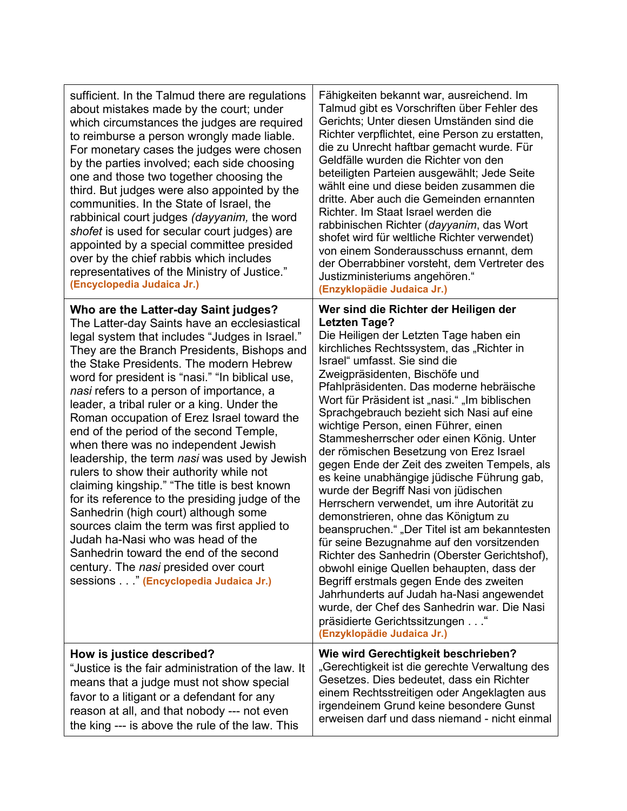| sufficient. In the Talmud there are regulations<br>about mistakes made by the court; under<br>which circumstances the judges are required<br>to reimburse a person wrongly made liable.<br>For monetary cases the judges were chosen<br>by the parties involved; each side choosing<br>one and those two together choosing the<br>third. But judges were also appointed by the<br>communities. In the State of Israel, the<br>rabbinical court judges <i>(dayyanim,</i> the word<br>shofet is used for secular court judges) are<br>appointed by a special committee presided<br>over by the chief rabbis which includes<br>representatives of the Ministry of Justice."<br>(Encyclopedia Judaica Jr.)                                                                                                                                                                                                                                                                        | Fähigkeiten bekannt war, ausreichend. Im<br>Talmud gibt es Vorschriften über Fehler des<br>Gerichts; Unter diesen Umständen sind die<br>Richter verpflichtet, eine Person zu erstatten,<br>die zu Unrecht haftbar gemacht wurde. Für<br>Geldfälle wurden die Richter von den<br>beteiligten Parteien ausgewählt; Jede Seite<br>wählt eine und diese beiden zusammen die<br>dritte. Aber auch die Gemeinden ernannten<br>Richter. Im Staat Israel werden die<br>rabbinischen Richter (dayyanim, das Wort<br>shofet wird für weltliche Richter verwendet)<br>von einem Sonderausschuss ernannt, dem<br>der Oberrabbiner vorsteht, dem Vertreter des<br>Justizministeriums angehören."<br>(Enzyklopädie Judaica Jr.)                                                                                                                                                                                                                                                                                                                                                                                                                |
|-------------------------------------------------------------------------------------------------------------------------------------------------------------------------------------------------------------------------------------------------------------------------------------------------------------------------------------------------------------------------------------------------------------------------------------------------------------------------------------------------------------------------------------------------------------------------------------------------------------------------------------------------------------------------------------------------------------------------------------------------------------------------------------------------------------------------------------------------------------------------------------------------------------------------------------------------------------------------------|----------------------------------------------------------------------------------------------------------------------------------------------------------------------------------------------------------------------------------------------------------------------------------------------------------------------------------------------------------------------------------------------------------------------------------------------------------------------------------------------------------------------------------------------------------------------------------------------------------------------------------------------------------------------------------------------------------------------------------------------------------------------------------------------------------------------------------------------------------------------------------------------------------------------------------------------------------------------------------------------------------------------------------------------------------------------------------------------------------------------------------|
| Who are the Latter-day Saint judges?<br>The Latter-day Saints have an ecclesiastical<br>legal system that includes "Judges in Israel."<br>They are the Branch Presidents, Bishops and<br>the Stake Presidents. The modern Hebrew<br>word for president is "nasi." "In biblical use,<br>nasi refers to a person of importance, a<br>leader, a tribal ruler or a king. Under the<br>Roman occupation of Erez Israel toward the<br>end of the period of the second Temple,<br>when there was no independent Jewish<br>leadership, the term nasi was used by Jewish<br>rulers to show their authority while not<br>claiming kingship." "The title is best known<br>for its reference to the presiding judge of the<br>Sanhedrin (high court) although some<br>sources claim the term was first applied to<br>Judah ha-Nasi who was head of the<br>Sanhedrin toward the end of the second<br>century. The <i>nasi</i> presided over court<br>sessions " (Encyclopedia Judaica Jr.) | Wer sind die Richter der Heiligen der<br><b>Letzten Tage?</b><br>Die Heiligen der Letzten Tage haben ein<br>kirchliches Rechtssystem, das "Richter in<br>Israel" umfasst. Sie sind die<br>Zweigpräsidenten, Bischöfe und<br>Pfahlpräsidenten. Das moderne hebräische<br>Wort für Präsident ist "nasi." "Im biblischen<br>Sprachgebrauch bezieht sich Nasi auf eine<br>wichtige Person, einen Führer, einen<br>Stammesherrscher oder einen König. Unter<br>der römischen Besetzung von Erez Israel<br>gegen Ende der Zeit des zweiten Tempels, als<br>es keine unabhängige jüdische Führung gab,<br>wurde der Begriff Nasi von jüdischen<br>Herrschern verwendet, um ihre Autorität zu<br>demonstrieren, ohne das Königtum zu<br>beanspruchen." "Der Titel ist am bekanntesten<br>für seine Bezugnahme auf den vorsitzenden<br>Richter des Sanhedrin (Oberster Gerichtshof),<br>obwohl einige Quellen behaupten, dass der<br>Begriff erstmals gegen Ende des zweiten<br>Jahrhunderts auf Judah ha-Nasi angewendet<br>wurde, der Chef des Sanhedrin war. Die Nasi<br>präsidierte Gerichtssitzungen "<br>(Enzyklopädie Judaica Jr.) |
| How is justice described?<br>"Justice is the fair administration of the law. It<br>means that a judge must not show special<br>favor to a litigant or a defendant for any<br>reason at all, and that nobody --- not even<br>the king --- is above the rule of the law. This                                                                                                                                                                                                                                                                                                                                                                                                                                                                                                                                                                                                                                                                                                   | Wie wird Gerechtigkeit beschrieben?<br>"Gerechtigkeit ist die gerechte Verwaltung des<br>Gesetzes. Dies bedeutet, dass ein Richter<br>einem Rechtsstreitigen oder Angeklagten aus<br>irgendeinem Grund keine besondere Gunst<br>erweisen darf und dass niemand - nicht einmal                                                                                                                                                                                                                                                                                                                                                                                                                                                                                                                                                                                                                                                                                                                                                                                                                                                    |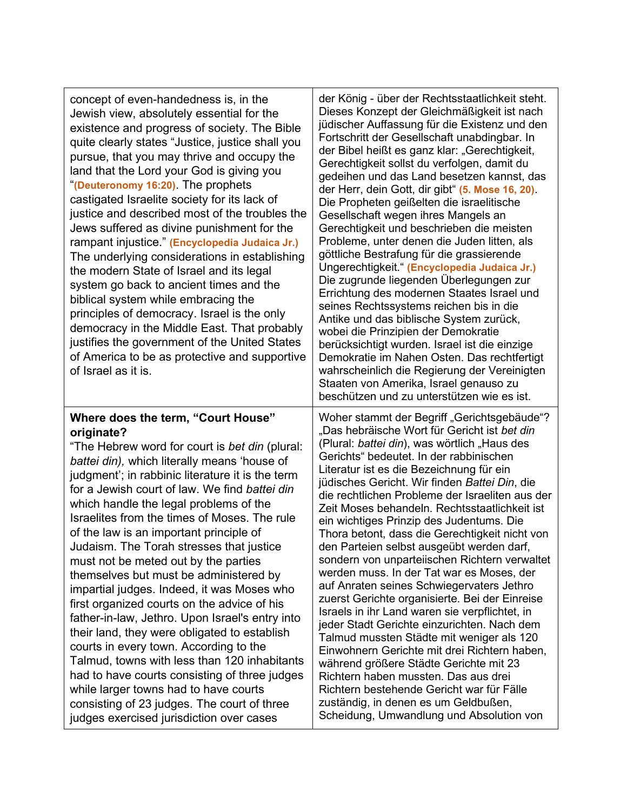| concept of even-handedness is, in the<br>Jewish view, absolutely essential for the<br>existence and progress of society. The Bible<br>quite clearly states "Justice, justice shall you<br>pursue, that you may thrive and occupy the<br>land that the Lord your God is giving you<br>"(Deuteronomy 16:20). The prophets<br>castigated Israelite society for its lack of<br>justice and described most of the troubles the<br>Jews suffered as divine punishment for the<br>rampant injustice." (Encyclopedia Judaica Jr.)<br>The underlying considerations in establishing<br>the modern State of Israel and its legal<br>system go back to ancient times and the<br>biblical system while embracing the<br>principles of democracy. Israel is the only<br>democracy in the Middle East. That probably<br>justifies the government of the United States<br>of America to be as protective and supportive<br>of Israel as it is.<br>Where does the term, "Court House" | der König - über der Rechtsstaatlichkeit steht.<br>Dieses Konzept der Gleichmäßigkeit ist nach<br>jüdischer Auffassung für die Existenz und den<br>Fortschritt der Gesellschaft unabdingbar. In<br>der Bibel heißt es ganz klar: "Gerechtigkeit,<br>Gerechtigkeit sollst du verfolgen, damit du<br>gedeihen und das Land besetzen kannst, das<br>der Herr, dein Gott, dir gibt" (5. Mose 16, 20).<br>Die Propheten geißelten die israelitische<br>Gesellschaft wegen ihres Mangels an<br>Gerechtigkeit und beschrieben die meisten<br>Probleme, unter denen die Juden litten, als<br>göttliche Bestrafung für die grassierende<br>Ungerechtigkeit." (Encyclopedia Judaica Jr.)<br>Die zugrunde liegenden Überlegungen zur<br>Errichtung des modernen Staates Israel und<br>seines Rechtssystems reichen bis in die<br>Antike und das biblische System zurück,<br>wobei die Prinzipien der Demokratie<br>berücksichtigt wurden. Israel ist die einzige<br>Demokratie im Nahen Osten. Das rechtfertigt<br>wahrscheinlich die Regierung der Vereinigten<br>Staaten von Amerika, Israel genauso zu<br>beschützen und zu unterstützen wie es ist.<br>Woher stammt der Begriff "Gerichtsgebäude"? |
|-----------------------------------------------------------------------------------------------------------------------------------------------------------------------------------------------------------------------------------------------------------------------------------------------------------------------------------------------------------------------------------------------------------------------------------------------------------------------------------------------------------------------------------------------------------------------------------------------------------------------------------------------------------------------------------------------------------------------------------------------------------------------------------------------------------------------------------------------------------------------------------------------------------------------------------------------------------------------|---------------------------------------------------------------------------------------------------------------------------------------------------------------------------------------------------------------------------------------------------------------------------------------------------------------------------------------------------------------------------------------------------------------------------------------------------------------------------------------------------------------------------------------------------------------------------------------------------------------------------------------------------------------------------------------------------------------------------------------------------------------------------------------------------------------------------------------------------------------------------------------------------------------------------------------------------------------------------------------------------------------------------------------------------------------------------------------------------------------------------------------------------------------------------------------------|
| originate?<br>"The Hebrew word for court is bet din (plural:<br>battei din), which literally means 'house of<br>judgment'; in rabbinic literature it is the term<br>for a Jewish court of law. We find battei din<br>which handle the legal problems of the<br>Israelites from the times of Moses. The rule<br>of the law is an important principle of<br>Judaism. The Torah stresses that justice<br>must not be meted out by the parties<br>themselves but must be administered by<br>impartial judges. Indeed, it was Moses who<br>first organized courts on the advice of his<br>father-in-law, Jethro. Upon Israel's entry into<br>their land, they were obligated to establish<br>courts in every town. According to the<br>Talmud, towns with less than 120 inhabitants<br>had to have courts consisting of three judges<br>while larger towns had to have courts<br>consisting of 23 judges. The court of three<br>judges exercised jurisdiction over cases   | "Das hebräische Wort für Gericht ist bet din<br>(Plural: battei din), was wörtlich "Haus des<br>Gerichts" bedeutet. In der rabbinischen<br>Literatur ist es die Bezeichnung für ein<br>jüdisches Gericht. Wir finden Battei Din, die<br>die rechtlichen Probleme der Israeliten aus der<br>Zeit Moses behandeln. Rechtsstaatlichkeit ist<br>ein wichtiges Prinzip des Judentums. Die<br>Thora betont, dass die Gerechtigkeit nicht von<br>den Parteien selbst ausgeübt werden darf,<br>sondern von unparteiischen Richtern verwaltet<br>werden muss. In der Tat war es Moses, der<br>auf Anraten seines Schwiegervaters Jethro<br>zuerst Gerichte organisierte. Bei der Einreise<br>Israels in ihr Land waren sie verpflichtet, in<br>jeder Stadt Gerichte einzurichten. Nach dem<br>Talmud mussten Städte mit weniger als 120<br>Einwohnern Gerichte mit drei Richtern haben,<br>während größere Städte Gerichte mit 23<br>Richtern haben mussten. Das aus drei<br>Richtern bestehende Gericht war für Fälle<br>zuständig, in denen es um Geldbußen,<br>Scheidung, Umwandlung und Absolution von                                                                                           |

T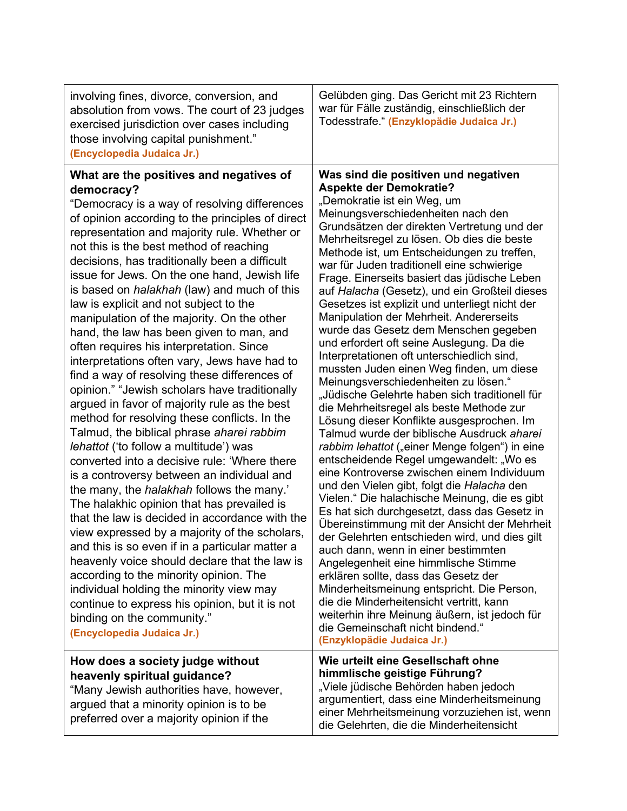| involving fines, divorce, conversion, and<br>absolution from vows. The court of 23 judges<br>exercised jurisdiction over cases including<br>those involving capital punishment."<br>(Encyclopedia Judaica Jr.)                                                                                                                                                                                                                                                                                                                                                                                                                                                                                                                                                                                                                                                                                                                                                                                                                                                                                                                                                                                                                                                                                                                                                                                                                                                                                                                                        | Gelübden ging. Das Gericht mit 23 Richtern<br>war für Fälle zuständig, einschließlich der<br>Todesstrafe." (Enzyklopädie Judaica Jr.)                                                                                                                                                                                                                                                                                                                                                                                                                                                                                                                                                                                                                                                                                                                                                                                                                                                                                                                                                                                                                                                                                                                                                                                                                                                                                                                                                                                                                                                                                                                                              |
|-------------------------------------------------------------------------------------------------------------------------------------------------------------------------------------------------------------------------------------------------------------------------------------------------------------------------------------------------------------------------------------------------------------------------------------------------------------------------------------------------------------------------------------------------------------------------------------------------------------------------------------------------------------------------------------------------------------------------------------------------------------------------------------------------------------------------------------------------------------------------------------------------------------------------------------------------------------------------------------------------------------------------------------------------------------------------------------------------------------------------------------------------------------------------------------------------------------------------------------------------------------------------------------------------------------------------------------------------------------------------------------------------------------------------------------------------------------------------------------------------------------------------------------------------------|------------------------------------------------------------------------------------------------------------------------------------------------------------------------------------------------------------------------------------------------------------------------------------------------------------------------------------------------------------------------------------------------------------------------------------------------------------------------------------------------------------------------------------------------------------------------------------------------------------------------------------------------------------------------------------------------------------------------------------------------------------------------------------------------------------------------------------------------------------------------------------------------------------------------------------------------------------------------------------------------------------------------------------------------------------------------------------------------------------------------------------------------------------------------------------------------------------------------------------------------------------------------------------------------------------------------------------------------------------------------------------------------------------------------------------------------------------------------------------------------------------------------------------------------------------------------------------------------------------------------------------------------------------------------------------|
| What are the positives and negatives of<br>democracy?<br>"Democracy is a way of resolving differences<br>of opinion according to the principles of direct<br>representation and majority rule. Whether or<br>not this is the best method of reaching<br>decisions, has traditionally been a difficult<br>issue for Jews. On the one hand, Jewish life<br>is based on <i>halakhah</i> (law) and much of this<br>law is explicit and not subject to the<br>manipulation of the majority. On the other<br>hand, the law has been given to man, and<br>often requires his interpretation. Since<br>interpretations often vary, Jews have had to<br>find a way of resolving these differences of<br>opinion." "Jewish scholars have traditionally<br>argued in favor of majority rule as the best<br>method for resolving these conflicts. In the<br>Talmud, the biblical phrase aharei rabbim<br><i>lehattot</i> ('to follow a multitude') was<br>converted into a decisive rule: 'Where there<br>is a controversy between an individual and<br>the many, the <i>halakhah</i> follows the many.'<br>The halakhic opinion that has prevailed is<br>that the law is decided in accordance with the<br>view expressed by a majority of the scholars,<br>and this is so even if in a particular matter a<br>heavenly voice should declare that the law is<br>according to the minority opinion. The<br>individual holding the minority view may<br>continue to express his opinion, but it is not<br>binding on the community."<br>(Encyclopedia Judaica Jr.) | Was sind die positiven und negativen<br><b>Aspekte der Demokratie?</b><br>"Demokratie ist ein Weg, um<br>Meinungsverschiedenheiten nach den<br>Grundsätzen der direkten Vertretung und der<br>Mehrheitsregel zu lösen. Ob dies die beste<br>Methode ist, um Entscheidungen zu treffen,<br>war für Juden traditionell eine schwierige<br>Frage. Einerseits basiert das jüdische Leben<br>auf Halacha (Gesetz), und ein Großteil dieses<br>Gesetzes ist explizit und unterliegt nicht der<br>Manipulation der Mehrheit. Andererseits<br>wurde das Gesetz dem Menschen gegeben<br>und erfordert oft seine Auslegung. Da die<br>Interpretationen oft unterschiedlich sind,<br>mussten Juden einen Weg finden, um diese<br>Meinungsverschiedenheiten zu lösen."<br>"Jüdische Gelehrte haben sich traditionell für<br>die Mehrheitsregel als beste Methode zur<br>Lösung dieser Konflikte ausgesprochen. Im<br>Talmud wurde der biblische Ausdruck aharei<br>rabbim lehattot ("einer Menge folgen") in eine<br>entscheidende Regel umgewandelt: "Wo es<br>eine Kontroverse zwischen einem Individuum<br>und den Vielen gibt, folgt die Halacha den<br>Vielen." Die halachische Meinung, die es gibt<br>Es hat sich durchgesetzt, dass das Gesetz in<br>Übereinstimmung mit der Ansicht der Mehrheit<br>der Gelehrten entschieden wird, und dies gilt<br>auch dann, wenn in einer bestimmten<br>Angelegenheit eine himmlische Stimme<br>erklären sollte, dass das Gesetz der<br>Minderheitsmeinung entspricht. Die Person,<br>die die Minderheitensicht vertritt, kann<br>weiterhin ihre Meinung äußern, ist jedoch für<br>die Gemeinschaft nicht bindend."<br>(Enzyklopädie Judaica Jr.) |
| How does a society judge without<br>heavenly spiritual guidance?<br>"Many Jewish authorities have, however,<br>argued that a minority opinion is to be<br>preferred over a majority opinion if the                                                                                                                                                                                                                                                                                                                                                                                                                                                                                                                                                                                                                                                                                                                                                                                                                                                                                                                                                                                                                                                                                                                                                                                                                                                                                                                                                    | Wie urteilt eine Gesellschaft ohne<br>himmlische geistige Führung?<br>"Viele jüdische Behörden haben jedoch<br>argumentiert, dass eine Minderheitsmeinung<br>einer Mehrheitsmeinung vorzuziehen ist, wenn<br>die Gelehrten, die die Minderheitensicht                                                                                                                                                                                                                                                                                                                                                                                                                                                                                                                                                                                                                                                                                                                                                                                                                                                                                                                                                                                                                                                                                                                                                                                                                                                                                                                                                                                                                              |

 $\mathsf{L}$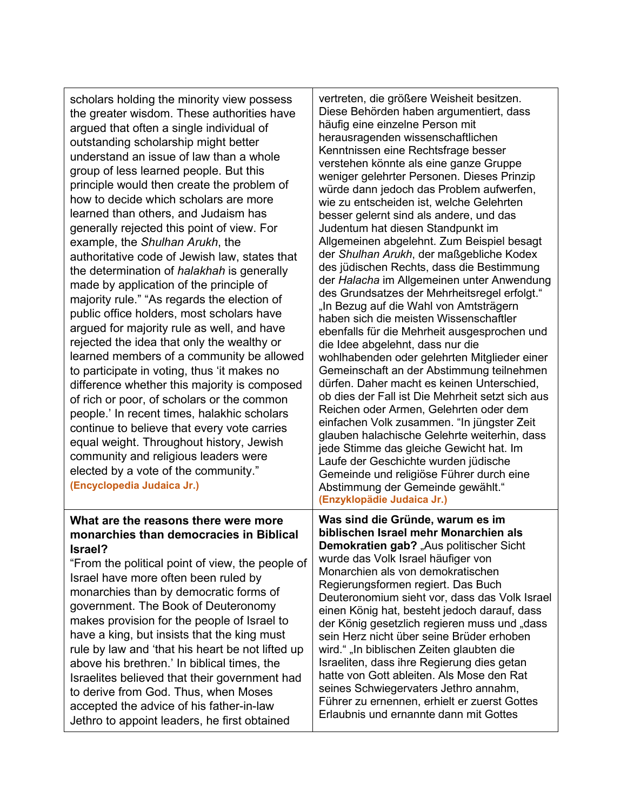| scholars holding the minority view possess<br>the greater wisdom. These authorities have<br>argued that often a single individual of<br>outstanding scholarship might better<br>understand an issue of law than a whole<br>group of less learned people. But this<br>principle would then create the problem of<br>how to decide which scholars are more<br>learned than others, and Judaism has<br>generally rejected this point of view. For<br>example, the Shulhan Arukh, the<br>authoritative code of Jewish law, states that<br>the determination of halakhah is generally<br>made by application of the principle of<br>majority rule." "As regards the election of<br>public office holders, most scholars have<br>argued for majority rule as well, and have<br>rejected the idea that only the wealthy or<br>learned members of a community be allowed<br>to participate in voting, thus 'it makes no<br>difference whether this majority is composed<br>of rich or poor, of scholars or the common<br>people.' In recent times, halakhic scholars<br>continue to believe that every vote carries<br>equal weight. Throughout history, Jewish<br>community and religious leaders were<br>elected by a vote of the community."<br>(Encyclopedia Judaica Jr.) | vertreten, die größere Weisheit besitzen.<br>Diese Behörden haben argumentiert, dass<br>häufig eine einzelne Person mit<br>herausragenden wissenschaftlichen<br>Kenntnissen eine Rechtsfrage besser<br>verstehen könnte als eine ganze Gruppe<br>weniger gelehrter Personen. Dieses Prinzip<br>würde dann jedoch das Problem aufwerfen,<br>wie zu entscheiden ist, welche Gelehrten<br>besser gelernt sind als andere, und das<br>Judentum hat diesen Standpunkt im<br>Allgemeinen abgelehnt. Zum Beispiel besagt<br>der Shulhan Arukh, der maßgebliche Kodex<br>des jüdischen Rechts, dass die Bestimmung<br>der Halacha im Allgemeinen unter Anwendung<br>des Grundsatzes der Mehrheitsregel erfolgt."<br>"In Bezug auf die Wahl von Amtsträgern<br>haben sich die meisten Wissenschaftler<br>ebenfalls für die Mehrheit ausgesprochen und<br>die Idee abgelehnt, dass nur die<br>wohlhabenden oder gelehrten Mitglieder einer<br>Gemeinschaft an der Abstimmung teilnehmen<br>dürfen. Daher macht es keinen Unterschied,<br>ob dies der Fall ist Die Mehrheit setzt sich aus<br>Reichen oder Armen, Gelehrten oder dem<br>einfachen Volk zusammen. "In jüngster Zeit<br>glauben halachische Gelehrte weiterhin, dass<br>jede Stimme das gleiche Gewicht hat. Im<br>Laufe der Geschichte wurden jüdische<br>Gemeinde und religiöse Führer durch eine<br>Abstimmung der Gemeinde gewählt."<br>(Enzyklopädie Judaica Jr.) |
|-----------------------------------------------------------------------------------------------------------------------------------------------------------------------------------------------------------------------------------------------------------------------------------------------------------------------------------------------------------------------------------------------------------------------------------------------------------------------------------------------------------------------------------------------------------------------------------------------------------------------------------------------------------------------------------------------------------------------------------------------------------------------------------------------------------------------------------------------------------------------------------------------------------------------------------------------------------------------------------------------------------------------------------------------------------------------------------------------------------------------------------------------------------------------------------------------------------------------------------------------------------------------|---------------------------------------------------------------------------------------------------------------------------------------------------------------------------------------------------------------------------------------------------------------------------------------------------------------------------------------------------------------------------------------------------------------------------------------------------------------------------------------------------------------------------------------------------------------------------------------------------------------------------------------------------------------------------------------------------------------------------------------------------------------------------------------------------------------------------------------------------------------------------------------------------------------------------------------------------------------------------------------------------------------------------------------------------------------------------------------------------------------------------------------------------------------------------------------------------------------------------------------------------------------------------------------------------------------------------------------------------------------------------------------------------------------------------|
| What are the reasons there were more<br>monarchies than democracies in Biblical<br>Israel?<br>"From the political point of view, the people of<br>Israel have more often been ruled by<br>monarchies than by democratic forms of<br>government. The Book of Deuteronomy<br>makes provision for the people of Israel to<br>have a king, but insists that the king must<br>rule by law and 'that his heart be not lifted up<br>above his brethren.' In biblical times, the<br>Israelites believed that their government had<br>to derive from God. Thus, when Moses<br>accepted the advice of his father-in-law                                                                                                                                                                                                                                                                                                                                                                                                                                                                                                                                                                                                                                                         | Was sind die Gründe, warum es im<br>biblischen Israel mehr Monarchien als<br>Demokratien gab? "Aus politischer Sicht<br>wurde das Volk Israel häufiger von<br>Monarchien als von demokratischen<br>Regierungsformen regiert. Das Buch<br>Deuteronomium sieht vor, dass das Volk Israel<br>einen König hat, besteht jedoch darauf, dass<br>der König gesetzlich regieren muss und "dass<br>sein Herz nicht über seine Brüder erhoben<br>wird." "In biblischen Zeiten glaubten die<br>Israeliten, dass ihre Regierung dies getan<br>hatte von Gott ableiten. Als Mose den Rat<br>seines Schwiegervaters Jethro annahm,<br>Führer zu ernennen, erhielt er zuerst Gottes<br>Erlaubnis und ernannte dann mit Gottes                                                                                                                                                                                                                                                                                                                                                                                                                                                                                                                                                                                                                                                                                                            |

Jethro to appoint leaders, he first obtained